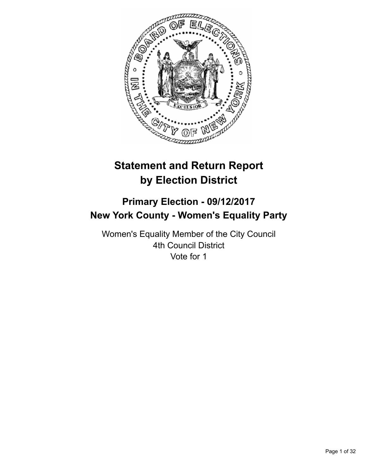

# **Statement and Return Report by Election District**

# **Primary Election - 09/12/2017 New York County - Women's Equality Party**

Women's Equality Member of the City Council 4th Council District Vote for 1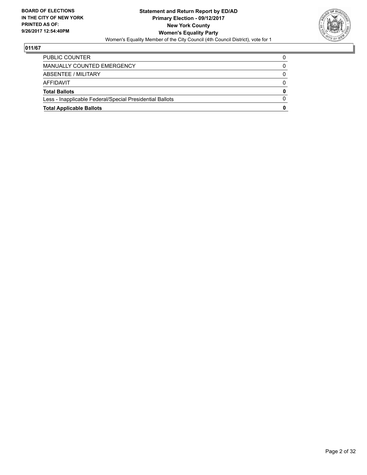

| <b>Total Applicable Ballots</b>                          | 0 |
|----------------------------------------------------------|---|
| Less - Inapplicable Federal/Special Presidential Ballots | 0 |
| <b>Total Ballots</b>                                     | 0 |
| AFFIDAVIT                                                | 0 |
| ABSENTEE / MILITARY                                      | 0 |
| MANUALLY COUNTED EMERGENCY                               | 0 |
| PUBLIC COUNTER                                           | 0 |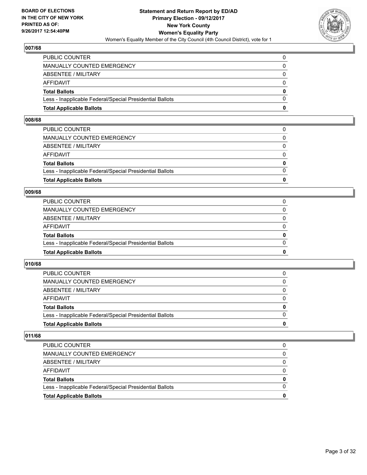

| <b>Total Applicable Ballots</b>                          | o        |
|----------------------------------------------------------|----------|
| Less - Inapplicable Federal/Special Presidential Ballots | 0        |
| <b>Total Ballots</b>                                     | $\bf{0}$ |
| AFFIDAVIT                                                | $\Omega$ |
| ABSENTEE / MILITARY                                      | 0        |
| MANUALLY COUNTED EMERGENCY                               | $\Omega$ |
| PUBLIC COUNTER                                           | 0        |

#### **008/68**

| <b>Total Applicable Ballots</b>                          | 0            |
|----------------------------------------------------------|--------------|
|                                                          |              |
| Less - Inapplicable Federal/Special Presidential Ballots | $\Omega$     |
| <b>Total Ballots</b>                                     | $\mathbf{0}$ |
| AFFIDAVIT                                                | $\Omega$     |
| ABSENTEE / MILITARY                                      | $\mathbf{0}$ |
| MANUALLY COUNTED EMERGENCY                               | $\Omega$     |
| PUBLIC COUNTER                                           |              |

#### **009/68**

| <b>Total Applicable Ballots</b>                          | 0        |
|----------------------------------------------------------|----------|
| Less - Inapplicable Federal/Special Presidential Ballots | 0        |
| <b>Total Ballots</b>                                     | 0        |
| AFFIDAVIT                                                | 0        |
| <b>ABSENTEE / MILITARY</b>                               | $\Omega$ |
| MANUALLY COUNTED EMERGENCY                               |          |
| PUBLIC COUNTER                                           |          |

## **010/68**

| <b>Total Applicable Ballots</b>                          | o            |
|----------------------------------------------------------|--------------|
| Less - Inapplicable Federal/Special Presidential Ballots | <sup>0</sup> |
| <b>Total Ballots</b>                                     | 0            |
| <b>AFFIDAVIT</b>                                         |              |
| ABSENTEE / MILITARY                                      | 0            |
| <b>MANUALLY COUNTED EMERGENCY</b>                        | 0            |
| <b>PUBLIC COUNTER</b>                                    |              |

| <b>Total Applicable Ballots</b>                          | 0 |
|----------------------------------------------------------|---|
| Less - Inapplicable Federal/Special Presidential Ballots |   |
| <b>Total Ballots</b>                                     | 0 |
| AFFIDAVIT                                                | 0 |
| ABSENTEE / MILITARY                                      | 0 |
| MANUALLY COUNTED EMERGENCY                               | 0 |
| <b>PUBLIC COUNTER</b>                                    |   |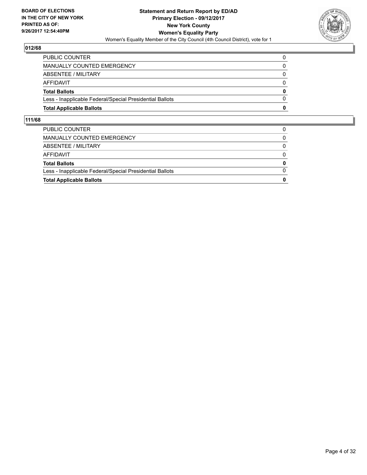

| <b>Total Applicable Ballots</b>                          | 0        |
|----------------------------------------------------------|----------|
| Less - Inapplicable Federal/Special Presidential Ballots | $\Omega$ |
| <b>Total Ballots</b>                                     | $\bf{0}$ |
| AFFIDAVIT                                                | 0        |
| ABSENTEE / MILITARY                                      | $\Omega$ |
| MANUALLY COUNTED EMERGENCY                               | 0        |
| <b>PUBLIC COUNTER</b>                                    |          |

| <b>Total Applicable Ballots</b>                          | 0        |
|----------------------------------------------------------|----------|
| Less - Inapplicable Federal/Special Presidential Ballots | $\Omega$ |
| <b>Total Ballots</b>                                     | 0        |
| AFFIDAVIT                                                | $\Omega$ |
| ABSENTEE / MILITARY                                      | $\Omega$ |
| MANUALLY COUNTED EMERGENCY                               |          |
| PUBLIC COUNTER                                           |          |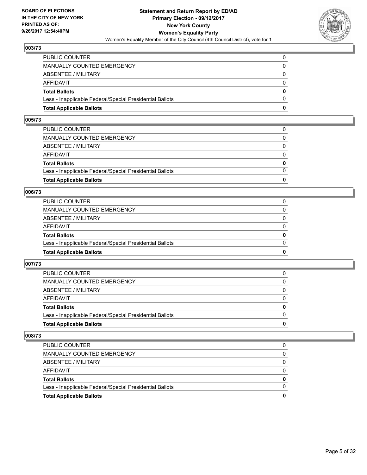

| <b>Total Applicable Ballots</b>                          | 0        |
|----------------------------------------------------------|----------|
| Less - Inapplicable Federal/Special Presidential Ballots | $\Omega$ |
| <b>Total Ballots</b>                                     | $\bf{0}$ |
| <b>AFFIDAVIT</b>                                         | $\Omega$ |
| ABSENTEE / MILITARY                                      | 0        |
| MANUALLY COUNTED EMERGENCY                               | $\Omega$ |
| PUBLIC COUNTER                                           | 0        |

## **005/73**

| <b>Total Applicable Ballots</b>                          | 0            |
|----------------------------------------------------------|--------------|
|                                                          |              |
| Less - Inapplicable Federal/Special Presidential Ballots | $\Omega$     |
| <b>Total Ballots</b>                                     | $\mathbf{0}$ |
| AFFIDAVIT                                                | $\Omega$     |
| ABSENTEE / MILITARY                                      | $\Omega$     |
| MANUALLY COUNTED EMERGENCY                               | 0            |
| PUBLIC COUNTER                                           |              |
|                                                          |              |

#### **006/73**

| <b>Total Applicable Ballots</b>                          | 0        |
|----------------------------------------------------------|----------|
| Less - Inapplicable Federal/Special Presidential Ballots | 0        |
| <b>Total Ballots</b>                                     | 0        |
| AFFIDAVIT                                                | 0        |
| <b>ABSENTEE / MILITARY</b>                               | $\Omega$ |
| MANUALLY COUNTED EMERGENCY                               |          |
| PUBLIC COUNTER                                           |          |

## **007/73**

| <b>Total Applicable Ballots</b>                          | o            |
|----------------------------------------------------------|--------------|
| Less - Inapplicable Federal/Special Presidential Ballots | <sup>0</sup> |
| <b>Total Ballots</b>                                     | 0            |
| <b>AFFIDAVIT</b>                                         |              |
| ABSENTEE / MILITARY                                      | 0            |
| <b>MANUALLY COUNTED EMERGENCY</b>                        | 0            |
| <b>PUBLIC COUNTER</b>                                    |              |

| <b>Total Applicable Ballots</b>                          | 0 |
|----------------------------------------------------------|---|
| Less - Inapplicable Federal/Special Presidential Ballots |   |
| <b>Total Ballots</b>                                     | 0 |
| AFFIDAVIT                                                |   |
| ABSENTEE / MILITARY                                      |   |
| MANUALLY COUNTED EMERGENCY                               | 0 |
| <b>PUBLIC COUNTER</b>                                    |   |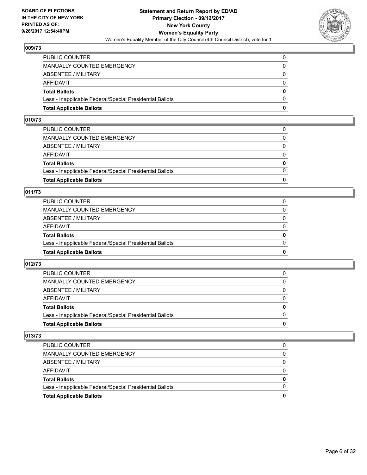

| <b>Total Applicable Ballots</b>                          | 0        |
|----------------------------------------------------------|----------|
| Less - Inapplicable Federal/Special Presidential Ballots | $\Omega$ |
| <b>Total Ballots</b>                                     | $\bf{0}$ |
| <b>AFFIDAVIT</b>                                         | $\Omega$ |
| ABSENTEE / MILITARY                                      | 0        |
| MANUALLY COUNTED EMERGENCY                               | $\Omega$ |
| PUBLIC COUNTER                                           | 0        |

#### **010/73**

| <b>Total Applicable Ballots</b>                          | 0            |
|----------------------------------------------------------|--------------|
|                                                          |              |
| Less - Inapplicable Federal/Special Presidential Ballots | $\Omega$     |
| <b>Total Ballots</b>                                     | $\mathbf{0}$ |
| AFFIDAVIT                                                | $\Omega$     |
| ABSENTEE / MILITARY                                      | $\Omega$     |
| MANUALLY COUNTED EMERGENCY                               | 0            |
| PUBLIC COUNTER                                           |              |
|                                                          |              |

## **011/73**

| <b>Total Applicable Ballots</b>                          | 0            |
|----------------------------------------------------------|--------------|
| Less - Inapplicable Federal/Special Presidential Ballots | $\Omega$     |
| <b>Total Ballots</b>                                     | $\mathbf{0}$ |
| <b>AFFIDAVIT</b>                                         | $\Omega$     |
| ABSENTEE / MILITARY                                      | $\Omega$     |
| <b>MANUALLY COUNTED EMERGENCY</b>                        | 0            |
| PUBLIC COUNTER                                           |              |

## **012/73**

| <b>Total Applicable Ballots</b>                          | 0        |
|----------------------------------------------------------|----------|
| Less - Inapplicable Federal/Special Presidential Ballots |          |
| <b>Total Ballots</b>                                     | $\bf{0}$ |
| <b>AFFIDAVIT</b>                                         |          |
| ABSENTEE / MILITARY                                      | 0        |
| MANUALLY COUNTED EMERGENCY                               | 0        |
| <b>PUBLIC COUNTER</b>                                    | 0        |

| <b>Total Applicable Ballots</b>                          | 0 |
|----------------------------------------------------------|---|
| Less - Inapplicable Federal/Special Presidential Ballots |   |
| <b>Total Ballots</b>                                     | 0 |
| AFFIDAVIT                                                |   |
| ABSENTEE / MILITARY                                      |   |
| <b>MANUALLY COUNTED EMERGENCY</b>                        | 0 |
| <b>PUBLIC COUNTER</b>                                    |   |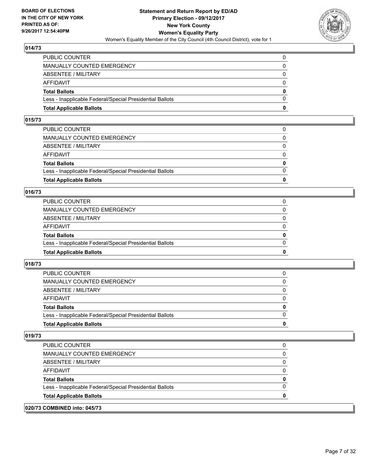

| <b>Total Applicable Ballots</b>                          | 0        |
|----------------------------------------------------------|----------|
| Less - Inapplicable Federal/Special Presidential Ballots | $\Omega$ |
| <b>Total Ballots</b>                                     | $\bf{0}$ |
| <b>AFFIDAVIT</b>                                         | $\Omega$ |
| ABSENTEE / MILITARY                                      | 0        |
| MANUALLY COUNTED EMERGENCY                               | $\Omega$ |
| PUBLIC COUNTER                                           | 0        |

## **015/73**

| <b>Total Applicable Ballots</b>                          | 0            |
|----------------------------------------------------------|--------------|
|                                                          |              |
| Less - Inapplicable Federal/Special Presidential Ballots | $\Omega$     |
| <b>Total Ballots</b>                                     | $\mathbf{0}$ |
| AFFIDAVIT                                                | $\Omega$     |
| ABSENTEE / MILITARY                                      | $\Omega$     |
| MANUALLY COUNTED EMERGENCY                               | 0            |
| PUBLIC COUNTER                                           |              |
|                                                          |              |

## **016/73**

| <b>Total Applicable Ballots</b>                          | 0        |
|----------------------------------------------------------|----------|
| Less - Inapplicable Federal/Special Presidential Ballots | $\Omega$ |
| <b>Total Ballots</b>                                     | $\bf{0}$ |
| <b>AFFIDAVIT</b>                                         | 0        |
| <b>ABSENTEE / MILITARY</b>                               | 0        |
| <b>MANUALLY COUNTED EMERGENCY</b>                        | 0        |
| PUBLIC COUNTER                                           |          |

## **018/73**

| <b>Total Applicable Ballots</b>                          | o            |
|----------------------------------------------------------|--------------|
| Less - Inapplicable Federal/Special Presidential Ballots | <sup>0</sup> |
| <b>Total Ballots</b>                                     | 0            |
| <b>AFFIDAVIT</b>                                         |              |
| ABSENTEE / MILITARY                                      | 0            |
| <b>MANUALLY COUNTED EMERGENCY</b>                        | 0            |
| <b>PUBLIC COUNTER</b>                                    |              |

| 020/73 COMBINED into: 045/73                             |   |
|----------------------------------------------------------|---|
| <b>Total Applicable Ballots</b>                          | 0 |
| Less - Inapplicable Federal/Special Presidential Ballots | O |
| <b>Total Ballots</b>                                     | 0 |
| AFFIDAVIT                                                | 0 |
| ABSENTEE / MILITARY                                      | 0 |
| <b>MANUALLY COUNTED EMERGENCY</b>                        | 0 |
| PUBLIC COUNTER                                           | 0 |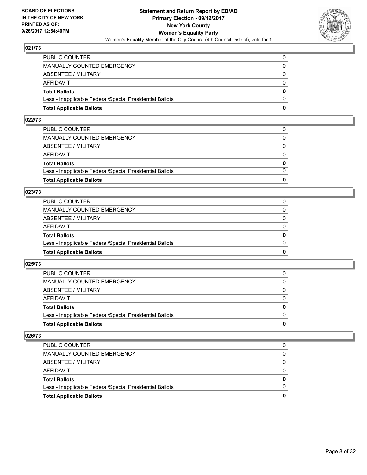

| <b>Total Applicable Ballots</b>                          | 0        |
|----------------------------------------------------------|----------|
| Less - Inapplicable Federal/Special Presidential Ballots | $\Omega$ |
| <b>Total Ballots</b>                                     | $\bf{0}$ |
| <b>AFFIDAVIT</b>                                         | $\Omega$ |
| ABSENTEE / MILITARY                                      | 0        |
| MANUALLY COUNTED EMERGENCY                               | $\Omega$ |
| PUBLIC COUNTER                                           | 0        |

#### **022/73**

| 0            |
|--------------|
| $\Omega$     |
| $\mathbf{0}$ |
| $\Omega$     |
| $\Omega$     |
| $\Omega$     |
| 0            |
|              |

## **023/73**

| <b>Total Applicable Ballots</b>                          | 0        |
|----------------------------------------------------------|----------|
| Less - Inapplicable Federal/Special Presidential Ballots | $\Omega$ |
| <b>Total Ballots</b>                                     | 0        |
| <b>AFFIDAVIT</b>                                         | $\Omega$ |
| ABSENTEE / MILITARY                                      | 0        |
| MANUALLY COUNTED EMERGENCY                               | $\Omega$ |
| PUBLIC COUNTER                                           |          |

## **025/73**

| <b>Total Applicable Ballots</b>                          | o            |
|----------------------------------------------------------|--------------|
| Less - Inapplicable Federal/Special Presidential Ballots | <sup>0</sup> |
| <b>Total Ballots</b>                                     | 0            |
| <b>AFFIDAVIT</b>                                         |              |
| ABSENTEE / MILITARY                                      | 0            |
| <b>MANUALLY COUNTED EMERGENCY</b>                        | 0            |
| <b>PUBLIC COUNTER</b>                                    |              |

| <b>Total Applicable Ballots</b>                          | 0 |
|----------------------------------------------------------|---|
| Less - Inapplicable Federal/Special Presidential Ballots |   |
| <b>Total Ballots</b>                                     | 0 |
| AFFIDAVIT                                                |   |
| ABSENTEE / MILITARY                                      |   |
| MANUALLY COUNTED EMERGENCY                               | 0 |
| <b>PUBLIC COUNTER</b>                                    |   |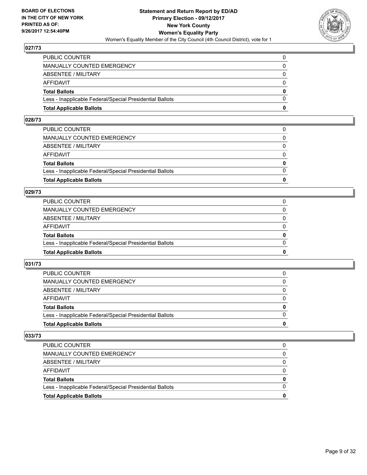

| <b>Total Applicable Ballots</b>                          | n        |
|----------------------------------------------------------|----------|
| Less - Inapplicable Federal/Special Presidential Ballots | $\Omega$ |
| <b>Total Ballots</b>                                     | $\bf{0}$ |
| AFFIDAVIT                                                | $\Omega$ |
| <b>ABSENTEE / MILITARY</b>                               | $\Omega$ |
| <b>MANUALLY COUNTED EMERGENCY</b>                        | $\Omega$ |
| PUBLIC COUNTER                                           |          |

#### **028/73**

| PUBLIC COUNTER                                           | $\Omega$     |
|----------------------------------------------------------|--------------|
| MANUALLY COUNTED EMERGENCY                               | 0            |
| ABSENTEE / MILITARY                                      | $\Omega$     |
| AFFIDAVIT                                                | $\Omega$     |
| <b>Total Ballots</b>                                     | $\mathbf{0}$ |
| Less - Inapplicable Federal/Special Presidential Ballots | $\Omega$     |
| <b>Total Applicable Ballots</b>                          | 0            |
|                                                          |              |

#### **029/73**

| <b>Total Applicable Ballots</b>                          | 0            |
|----------------------------------------------------------|--------------|
| Less - Inapplicable Federal/Special Presidential Ballots | $\Omega$     |
| <b>Total Ballots</b>                                     | $\mathbf{0}$ |
| <b>AFFIDAVIT</b>                                         | $\Omega$     |
| ABSENTEE / MILITARY                                      | $\Omega$     |
| MANUALLY COUNTED EMERGENCY                               |              |
| PUBLIC COUNTER                                           |              |

## **031/73**

| <b>Total Applicable Ballots</b>                          | 0        |
|----------------------------------------------------------|----------|
| Less - Inapplicable Federal/Special Presidential Ballots |          |
| <b>Total Ballots</b>                                     | $\bf{0}$ |
| <b>AFFIDAVIT</b>                                         |          |
| ABSENTEE / MILITARY                                      | 0        |
| MANUALLY COUNTED EMERGENCY                               | 0        |
| <b>PUBLIC COUNTER</b>                                    | 0        |

| <b>Total Applicable Ballots</b>                          | 0 |
|----------------------------------------------------------|---|
| Less - Inapplicable Federal/Special Presidential Ballots |   |
| <b>Total Ballots</b>                                     | 0 |
| AFFIDAVIT                                                |   |
| ABSENTEE / MILITARY                                      |   |
| MANUALLY COUNTED EMERGENCY                               | 0 |
| PUBLIC COUNTER                                           |   |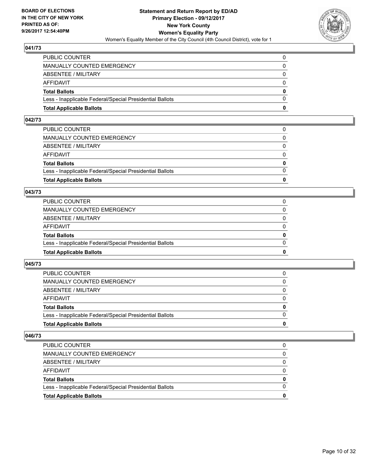

| <b>Total Applicable Ballots</b>                          | n        |
|----------------------------------------------------------|----------|
| Less - Inapplicable Federal/Special Presidential Ballots | $\Omega$ |
| <b>Total Ballots</b>                                     | $\bf{0}$ |
| <b>AFFIDAVIT</b>                                         | $\Omega$ |
| ABSENTEE / MILITARY                                      | 0        |
| <b>MANUALLY COUNTED EMERGENCY</b>                        | $\Omega$ |
| PUBLIC COUNTER                                           |          |

## **042/73**

| 0            |
|--------------|
| $\Omega$     |
| $\mathbf{0}$ |
| $\Omega$     |
| $\Omega$     |
| $\Omega$     |
| 0            |
|              |

## **043/73**

| <b>Total Applicable Ballots</b>                          | 0        |
|----------------------------------------------------------|----------|
| Less - Inapplicable Federal/Special Presidential Ballots | 0        |
| <b>Total Ballots</b>                                     | 0        |
| AFFIDAVIT                                                | 0        |
| <b>ABSENTEE / MILITARY</b>                               | $\Omega$ |
| MANUALLY COUNTED EMERGENCY                               |          |
| PUBLIC COUNTER                                           |          |

## **045/73**

| <b>Total Applicable Ballots</b>                          | o            |
|----------------------------------------------------------|--------------|
| Less - Inapplicable Federal/Special Presidential Ballots | <sup>0</sup> |
| <b>Total Ballots</b>                                     | 0            |
| <b>AFFIDAVIT</b>                                         |              |
| ABSENTEE / MILITARY                                      | 0            |
| <b>MANUALLY COUNTED EMERGENCY</b>                        | 0            |
| <b>PUBLIC COUNTER</b>                                    |              |

| <b>Total Applicable Ballots</b>                          | 0 |
|----------------------------------------------------------|---|
| Less - Inapplicable Federal/Special Presidential Ballots |   |
| <b>Total Ballots</b>                                     | 0 |
| AFFIDAVIT                                                |   |
| ABSENTEE / MILITARY                                      |   |
| MANUALLY COUNTED EMERGENCY                               | 0 |
| <b>PUBLIC COUNTER</b>                                    |   |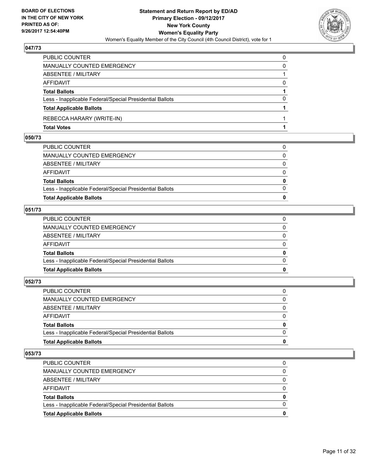

| PUBLIC COUNTER                                           |          |
|----------------------------------------------------------|----------|
| MANUALLY COUNTED EMERGENCY                               | 0        |
| ABSENTEE / MILITARY                                      |          |
| <b>AFFIDAVIT</b>                                         | $\Omega$ |
| <b>Total Ballots</b>                                     |          |
| Less - Inapplicable Federal/Special Presidential Ballots | 0        |
| <b>Total Applicable Ballots</b>                          |          |
| REBECCA HARARY (WRITE-IN)                                |          |
| <b>Total Votes</b>                                       |          |

## **050/73**

| <b>Total Applicable Ballots</b>                          | 0            |
|----------------------------------------------------------|--------------|
| Less - Inapplicable Federal/Special Presidential Ballots | $\Omega$     |
| <b>Total Ballots</b>                                     | $\mathbf{0}$ |
| AFFIDAVIT                                                | $\Omega$     |
| ABSENTEE / MILITARY                                      | $\Omega$     |
| MANUALLY COUNTED EMERGENCY                               | 0            |
| PUBLIC COUNTER                                           | 0            |

## **051/73**

| PUBLIC COUNTER                                           | 0            |
|----------------------------------------------------------|--------------|
|                                                          |              |
| MANUALLY COUNTED EMERGENCY                               | $\Omega$     |
|                                                          |              |
| ABSENTEE / MILITARY                                      | $\Omega$     |
|                                                          |              |
| AFFIDAVIT                                                | $\Omega$     |
| <b>Total Ballots</b>                                     | $\mathbf{0}$ |
|                                                          |              |
| Less - Inapplicable Federal/Special Presidential Ballots | $\Omega$     |
|                                                          |              |
| <b>Total Applicable Ballots</b>                          | 0            |
|                                                          |              |

# **052/73**

| PUBLIC COUNTER                                           | 0            |
|----------------------------------------------------------|--------------|
| MANUALLY COUNTED EMERGENCY                               | 0            |
| ABSENTEE / MILITARY                                      | $\Omega$     |
| AFFIDAVIT                                                | $\Omega$     |
| <b>Total Ballots</b>                                     | $\mathbf{0}$ |
| Less - Inapplicable Federal/Special Presidential Ballots | $\Omega$     |
| <b>Total Applicable Ballots</b>                          | 0            |
|                                                          |              |

| <b>Total Applicable Ballots</b>                          |   |
|----------------------------------------------------------|---|
| Less - Inapplicable Federal/Special Presidential Ballots |   |
| <b>Total Ballots</b>                                     | 0 |
| AFFIDAVIT                                                | 0 |
| ABSENTEE / MILITARY                                      |   |
| MANUALLY COUNTED EMERGENCY                               |   |
| <b>PUBLIC COUNTER</b>                                    | 0 |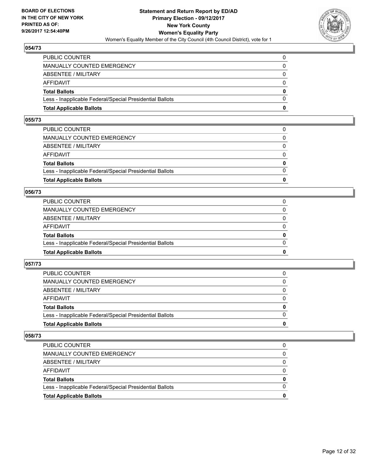

| <b>Total Applicable Ballots</b>                          | n        |
|----------------------------------------------------------|----------|
| Less - Inapplicable Federal/Special Presidential Ballots | $\Omega$ |
| <b>Total Ballots</b>                                     | $\bf{0}$ |
| <b>AFFIDAVIT</b>                                         | $\Omega$ |
| <b>ABSENTEE / MILITARY</b>                               | $\Omega$ |
| <b>MANUALLY COUNTED EMERGENCY</b>                        | 0        |
| PUBLIC COUNTER                                           |          |

## **055/73**

| PUBLIC COUNTER                                           | $\Omega$     |
|----------------------------------------------------------|--------------|
| MANUALLY COUNTED EMERGENCY                               | 0            |
| ABSENTEE / MILITARY                                      | $\Omega$     |
| AFFIDAVIT                                                | $\Omega$     |
| <b>Total Ballots</b>                                     | $\mathbf{0}$ |
| Less - Inapplicable Federal/Special Presidential Ballots | $\Omega$     |
| <b>Total Applicable Ballots</b>                          | 0            |
|                                                          |              |

#### **056/73**

| <b>Total Applicable Ballots</b>                          | 0            |
|----------------------------------------------------------|--------------|
| Less - Inapplicable Federal/Special Presidential Ballots | $\Omega$     |
| <b>Total Ballots</b>                                     | $\mathbf{0}$ |
| <b>AFFIDAVIT</b>                                         | $\Omega$     |
| ABSENTEE / MILITARY                                      | $\Omega$     |
| MANUALLY COUNTED EMERGENCY                               |              |
| PUBLIC COUNTER                                           |              |

## **057/73**

| <b>Total Applicable Ballots</b>                          | 0        |
|----------------------------------------------------------|----------|
| Less - Inapplicable Federal/Special Presidential Ballots |          |
| <b>Total Ballots</b>                                     | $\bf{0}$ |
| <b>AFFIDAVIT</b>                                         |          |
| ABSENTEE / MILITARY                                      | 0        |
| MANUALLY COUNTED EMERGENCY                               | 0        |
| <b>PUBLIC COUNTER</b>                                    | 0        |

| <b>Total Applicable Ballots</b>                          |   |
|----------------------------------------------------------|---|
| Less - Inapplicable Federal/Special Presidential Ballots |   |
| <b>Total Ballots</b>                                     | 0 |
| AFFIDAVIT                                                |   |
| ABSENTEE / MILITARY                                      |   |
| MANUALLY COUNTED EMERGENCY                               |   |
| <b>PUBLIC COUNTER</b>                                    |   |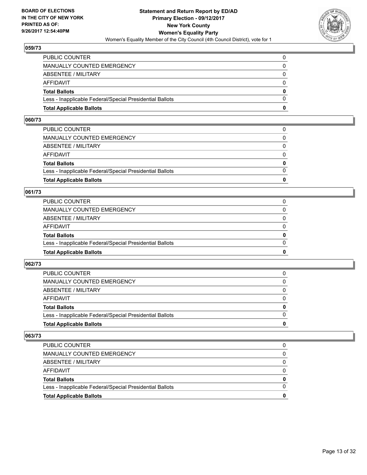

| <b>Total Applicable Ballots</b>                          | n            |
|----------------------------------------------------------|--------------|
| Less - Inapplicable Federal/Special Presidential Ballots | $\Omega$     |
| <b>Total Ballots</b>                                     | $\mathbf{0}$ |
| AFFIDAVIT                                                | $\Omega$     |
| <b>ABSENTEE / MILITARY</b>                               | $\Omega$     |
| <b>MANUALLY COUNTED EMERGENCY</b>                        | $\Omega$     |
| PUBLIC COUNTER                                           |              |

## **060/73**

| <b>Total Applicable Ballots</b>                          | 0            |
|----------------------------------------------------------|--------------|
|                                                          |              |
| Less - Inapplicable Federal/Special Presidential Ballots | $\Omega$     |
| <b>Total Ballots</b>                                     | $\mathbf{0}$ |
| AFFIDAVIT                                                | $\Omega$     |
| ABSENTEE / MILITARY                                      | $\Omega$     |
| MANUALLY COUNTED EMERGENCY                               | 0            |
| PUBLIC COUNTER                                           |              |
|                                                          |              |

## **061/73**

| <b>Total Applicable Ballots</b>                          | 0        |
|----------------------------------------------------------|----------|
| Less - Inapplicable Federal/Special Presidential Ballots | 0        |
| <b>Total Ballots</b>                                     | 0        |
| AFFIDAVIT                                                | 0        |
| <b>ABSENTEE / MILITARY</b>                               | $\Omega$ |
| MANUALLY COUNTED EMERGENCY                               |          |
| PUBLIC COUNTER                                           |          |

## **062/73**

| <b>Total Applicable Ballots</b>                          | o            |
|----------------------------------------------------------|--------------|
| Less - Inapplicable Federal/Special Presidential Ballots | <sup>0</sup> |
| <b>Total Ballots</b>                                     | 0            |
| <b>AFFIDAVIT</b>                                         |              |
| ABSENTEE / MILITARY                                      | 0            |
| <b>MANUALLY COUNTED EMERGENCY</b>                        | 0            |
| <b>PUBLIC COUNTER</b>                                    |              |

| <b>Total Applicable Ballots</b>                          | 0 |
|----------------------------------------------------------|---|
| Less - Inapplicable Federal/Special Presidential Ballots |   |
| <b>Total Ballots</b>                                     | 0 |
| AFFIDAVIT                                                |   |
| ABSENTEE / MILITARY                                      |   |
| MANUALLY COUNTED EMERGENCY                               | 0 |
| <b>PUBLIC COUNTER</b>                                    |   |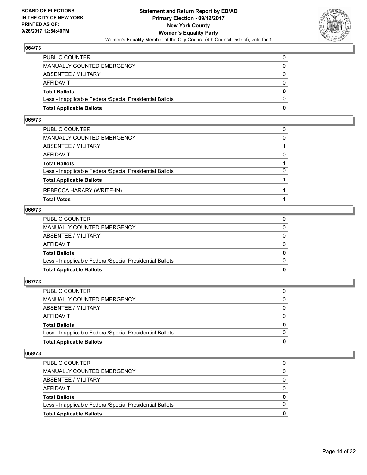

| <b>Total Applicable Ballots</b>                          | 0        |
|----------------------------------------------------------|----------|
| Less - Inapplicable Federal/Special Presidential Ballots | $\Omega$ |
| <b>Total Ballots</b>                                     | 0        |
| AFFIDAVIT                                                | $\Omega$ |
| <b>ABSENTEE / MILITARY</b>                               | $\Omega$ |
| MANUALLY COUNTED EMERGENCY                               | 0        |
| PUBLIC COUNTER                                           | 0        |

#### **065/73**

| PUBLIC COUNTER                                           |          |
|----------------------------------------------------------|----------|
| MANUALLY COUNTED EMERGENCY                               | $\Omega$ |
| ABSENTEE / MILITARY                                      |          |
| AFFIDAVIT                                                | $\Omega$ |
| <b>Total Ballots</b>                                     |          |
| Less - Inapplicable Federal/Special Presidential Ballots | $\Omega$ |
| <b>Total Applicable Ballots</b>                          |          |
| REBECCA HARARY (WRITE-IN)                                |          |
| <b>Total Votes</b>                                       |          |

#### **066/73**

| <b>Total Applicable Ballots</b>                          | 0            |
|----------------------------------------------------------|--------------|
| Less - Inapplicable Federal/Special Presidential Ballots | $\Omega$     |
| <b>Total Ballots</b>                                     | $\mathbf{0}$ |
| AFFIDAVIT                                                | $\Omega$     |
| ABSENTEE / MILITARY                                      | $\Omega$     |
| MANUALLY COUNTED EMERGENCY                               | $\Omega$     |
| PUBLIC COUNTER                                           | 0            |
|                                                          |              |

# **067/73**

| PUBLIC COUNTER                                           | 0            |
|----------------------------------------------------------|--------------|
| MANUALLY COUNTED EMERGENCY                               | 0            |
| ABSENTEE / MILITARY                                      | $\Omega$     |
| AFFIDAVIT                                                | $\Omega$     |
| <b>Total Ballots</b>                                     | $\mathbf{0}$ |
| Less - Inapplicable Federal/Special Presidential Ballots | $\Omega$     |
| <b>Total Applicable Ballots</b>                          | 0            |
|                                                          |              |

| <b>Total Applicable Ballots</b>                          | o        |
|----------------------------------------------------------|----------|
| Less - Inapplicable Federal/Special Presidential Ballots |          |
| <b>Total Ballots</b>                                     | 0        |
| AFFIDAVIT                                                | 0        |
| ABSENTEE / MILITARY                                      | 0        |
| MANUALLY COUNTED EMERGENCY                               | 0        |
| <b>PUBLIC COUNTER</b>                                    | $\Omega$ |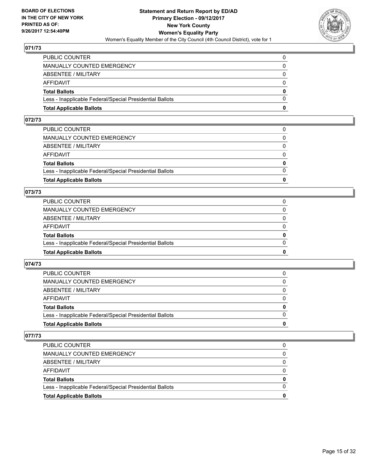

| <b>Total Applicable Ballots</b>                          | 0            |
|----------------------------------------------------------|--------------|
| Less - Inapplicable Federal/Special Presidential Ballots | $\Omega$     |
| <b>Total Ballots</b>                                     | $\mathbf{0}$ |
| <b>AFFIDAVIT</b>                                         | $\Omega$     |
| ABSENTEE / MILITARY                                      | 0            |
| MANUALLY COUNTED EMERGENCY                               | $\Omega$     |
| PUBLIC COUNTER                                           | 0            |

## **072/73**

| 0            |
|--------------|
| $\Omega$     |
| $\mathbf{0}$ |
| $\Omega$     |
| $\Omega$     |
| $\Omega$     |
| 0            |
|              |

## **073/73**

| <b>Total Applicable Ballots</b>                          | 0            |
|----------------------------------------------------------|--------------|
| Less - Inapplicable Federal/Special Presidential Ballots | $\Omega$     |
| <b>Total Ballots</b>                                     | $\mathbf{0}$ |
| <b>AFFIDAVIT</b>                                         | $\Omega$     |
| ABSENTEE / MILITARY                                      | $\Omega$     |
| <b>MANUALLY COUNTED EMERGENCY</b>                        | 0            |
| PUBLIC COUNTER                                           |              |

## **074/73**

| <b>Total Applicable Ballots</b>                          | 0        |
|----------------------------------------------------------|----------|
| Less - Inapplicable Federal/Special Presidential Ballots |          |
| <b>Total Ballots</b>                                     | $\bf{0}$ |
| <b>AFFIDAVIT</b>                                         |          |
| ABSENTEE / MILITARY                                      | 0        |
| MANUALLY COUNTED EMERGENCY                               | 0        |
| <b>PUBLIC COUNTER</b>                                    | 0        |

| <b>Total Applicable Ballots</b>                          | 0 |
|----------------------------------------------------------|---|
| Less - Inapplicable Federal/Special Presidential Ballots |   |
| <b>Total Ballots</b>                                     | 0 |
| AFFIDAVIT                                                |   |
| ABSENTEE / MILITARY                                      |   |
| <b>MANUALLY COUNTED EMERGENCY</b>                        | 0 |
| <b>PUBLIC COUNTER</b>                                    |   |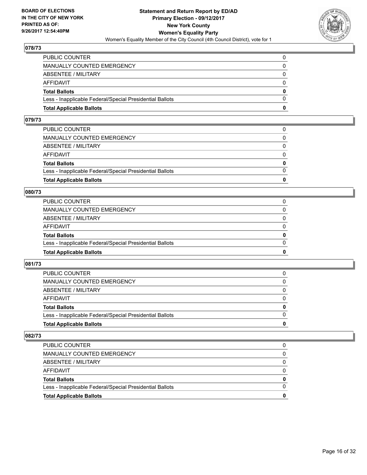

| <b>Total Applicable Ballots</b>                          | O            |
|----------------------------------------------------------|--------------|
| Less - Inapplicable Federal/Special Presidential Ballots | $\Omega$     |
| <b>Total Ballots</b>                                     | $\mathbf{0}$ |
| <b>AFFIDAVIT</b>                                         | $\Omega$     |
| ABSENTEE / MILITARY                                      | 0            |
| <b>MANUALLY COUNTED EMERGENCY</b>                        | $\Omega$     |
| PUBLIC COUNTER                                           | 0            |

## **079/73**

| 0            |
|--------------|
| $\Omega$     |
| $\mathbf{0}$ |
| $\Omega$     |
| $\Omega$     |
| $\Omega$     |
| 0            |
|              |

## **080/73**

| <b>Total Applicable Ballots</b>                          | 0        |
|----------------------------------------------------------|----------|
| Less - Inapplicable Federal/Special Presidential Ballots | 0        |
| <b>Total Ballots</b>                                     | 0        |
| AFFIDAVIT                                                | 0        |
| <b>ABSENTEE / MILITARY</b>                               | $\Omega$ |
| MANUALLY COUNTED EMERGENCY                               |          |
| PUBLIC COUNTER                                           |          |

## **081/73**

| <b>Total Applicable Ballots</b>                          | 0        |
|----------------------------------------------------------|----------|
| Less - Inapplicable Federal/Special Presidential Ballots |          |
| <b>Total Ballots</b>                                     | $\bf{0}$ |
| <b>AFFIDAVIT</b>                                         |          |
| ABSENTEE / MILITARY                                      | 0        |
| MANUALLY COUNTED EMERGENCY                               | 0        |
| <b>PUBLIC COUNTER</b>                                    | 0        |

| <b>Total Applicable Ballots</b>                          |   |
|----------------------------------------------------------|---|
| Less - Inapplicable Federal/Special Presidential Ballots |   |
| <b>Total Ballots</b>                                     | 0 |
| AFFIDAVIT                                                |   |
| ABSENTEE / MILITARY                                      |   |
| MANUALLY COUNTED EMERGENCY                               |   |
| PUBLIC COUNTER                                           |   |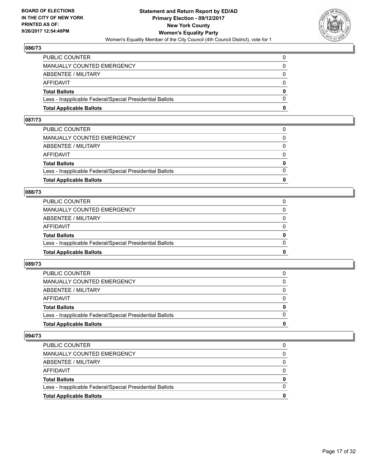

| <b>Total Applicable Ballots</b>                          | n            |
|----------------------------------------------------------|--------------|
| Less - Inapplicable Federal/Special Presidential Ballots | $\Omega$     |
| <b>Total Ballots</b>                                     | $\mathbf{0}$ |
| AFFIDAVIT                                                | $\Omega$     |
| <b>ABSENTEE / MILITARY</b>                               | $\Omega$     |
| <b>MANUALLY COUNTED EMERGENCY</b>                        | $\Omega$     |
| PUBLIC COUNTER                                           |              |

## **087/73**

| 0            |
|--------------|
| $\Omega$     |
| $\mathbf{0}$ |
| $\Omega$     |
| $\Omega$     |
| $\Omega$     |
| 0            |
|              |

#### **088/73**

| <b>Total Applicable Ballots</b>                          | 0        |
|----------------------------------------------------------|----------|
| Less - Inapplicable Federal/Special Presidential Ballots | 0        |
| <b>Total Ballots</b>                                     | 0        |
| AFFIDAVIT                                                | 0        |
| <b>ABSENTEE / MILITARY</b>                               | $\Omega$ |
| MANUALLY COUNTED EMERGENCY                               |          |
| PUBLIC COUNTER                                           |          |

## **089/73**

| <b>Total Applicable Ballots</b>                          | o            |
|----------------------------------------------------------|--------------|
| Less - Inapplicable Federal/Special Presidential Ballots | <sup>0</sup> |
| <b>Total Ballots</b>                                     | 0            |
| AFFIDAVIT                                                |              |
| ABSENTEE / MILITARY                                      | 0            |
| <b>MANUALLY COUNTED EMERGENCY</b>                        | 0            |
| <b>PUBLIC COUNTER</b>                                    |              |

| <b>Total Applicable Ballots</b>                          | 0 |
|----------------------------------------------------------|---|
| Less - Inapplicable Federal/Special Presidential Ballots |   |
| <b>Total Ballots</b>                                     | 0 |
| AFFIDAVIT                                                |   |
| ABSENTEE / MILITARY                                      |   |
| MANUALLY COUNTED EMERGENCY                               | 0 |
| <b>PUBLIC COUNTER</b>                                    |   |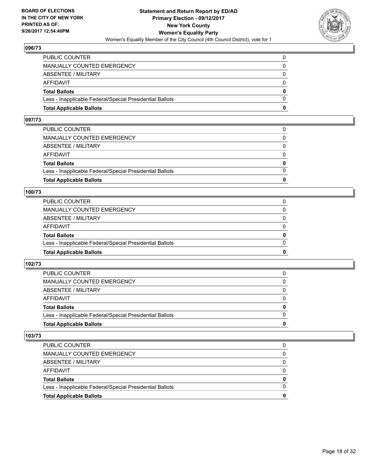

| <b>Total Applicable Ballots</b>                          | o        |
|----------------------------------------------------------|----------|
| Less - Inapplicable Federal/Special Presidential Ballots | 0        |
| <b>Total Ballots</b>                                     | $\bf{0}$ |
| <b>AFFIDAVIT</b>                                         | $\Omega$ |
| <b>ABSENTEE / MILITARY</b>                               | 0        |
| <b>MANUALLY COUNTED EMERGENCY</b>                        | $\Omega$ |
| PUBLIC COUNTER                                           | 0        |

## **097/73**

| 0            |
|--------------|
| $\Omega$     |
| $\mathbf{0}$ |
| $\Omega$     |
| $\Omega$     |
| $\Omega$     |
| 0            |
|              |

#### **100/73**

| <b>Total Applicable Ballots</b>                          | 0        |
|----------------------------------------------------------|----------|
| Less - Inapplicable Federal/Special Presidential Ballots | $\Omega$ |
| <b>Total Ballots</b>                                     | 0        |
| <b>AFFIDAVIT</b>                                         | $\Omega$ |
| ABSENTEE / MILITARY                                      | 0        |
| MANUALLY COUNTED EMERGENCY                               | $\Omega$ |
| PUBLIC COUNTER                                           |          |

## **102/73**

| <b>Total Applicable Ballots</b>                          | 0        |
|----------------------------------------------------------|----------|
| Less - Inapplicable Federal/Special Presidential Ballots | $\Omega$ |
| <b>Total Ballots</b>                                     | 0        |
| <b>AFFIDAVIT</b>                                         | 0        |
| ABSENTEE / MILITARY                                      | $\Omega$ |
| MANUALLY COUNTED EMERGENCY                               | 0        |
| PUBLIC COUNTER                                           |          |

| <b>Total Applicable Ballots</b>                          | 0 |
|----------------------------------------------------------|---|
| Less - Inapplicable Federal/Special Presidential Ballots |   |
| <b>Total Ballots</b>                                     | 0 |
| AFFIDAVIT                                                |   |
| ABSENTEE / MILITARY                                      |   |
| MANUALLY COUNTED EMERGENCY                               | 0 |
| <b>PUBLIC COUNTER</b>                                    |   |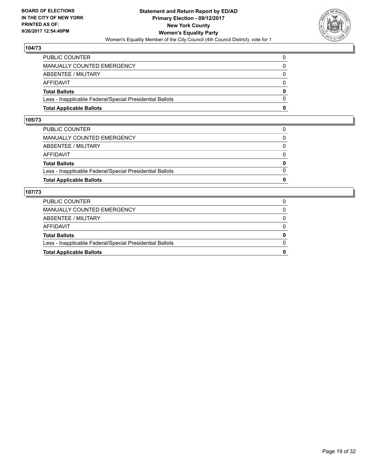

| <b>Total Applicable Ballots</b>                          | o            |
|----------------------------------------------------------|--------------|
| Less - Inapplicable Federal/Special Presidential Ballots | $\Omega$     |
| <b>Total Ballots</b>                                     | $\mathbf{0}$ |
| AFFIDAVIT                                                | $\Omega$     |
| <b>ABSENTEE / MILITARY</b>                               | 0            |
| <b>MANUALLY COUNTED EMERGENCY</b>                        | 0            |
| PUBLIC COUNTER                                           |              |

## **105/73**

| <b>Total Applicable Ballots</b>                          | 0            |
|----------------------------------------------------------|--------------|
| Less - Inapplicable Federal/Special Presidential Ballots | $\Omega$     |
| <b>Total Ballots</b>                                     | $\mathbf{0}$ |
| AFFIDAVIT                                                | $\Omega$     |
| ABSENTEE / MILITARY                                      | $\Omega$     |
| MANUALLY COUNTED EMERGENCY                               | 0            |
| PUBLIC COUNTER                                           | 0            |
|                                                          |              |

| <b>Total Applicable Ballots</b>                          | 0            |
|----------------------------------------------------------|--------------|
| Less - Inapplicable Federal/Special Presidential Ballots | 0            |
| <b>Total Ballots</b>                                     | 0            |
| AFFIDAVIT                                                | 0            |
| ABSENTEE / MILITARY                                      | 0            |
| MANUALLY COUNTED EMERGENCY                               | $\mathbf{0}$ |
| <b>PUBLIC COUNTER</b>                                    |              |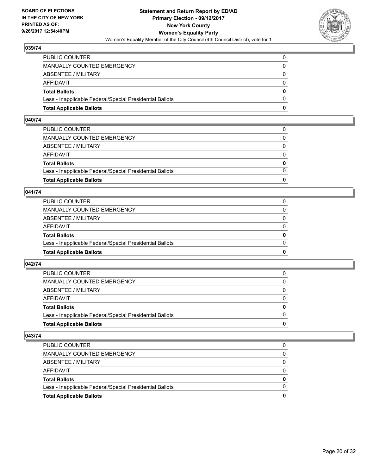

| <b>Total Applicable Ballots</b>                          | n        |
|----------------------------------------------------------|----------|
| Less - Inapplicable Federal/Special Presidential Ballots | $\Omega$ |
| <b>Total Ballots</b>                                     | $\bf{0}$ |
| AFFIDAVIT                                                | $\Omega$ |
| <b>ABSENTEE / MILITARY</b>                               | $\Omega$ |
| <b>MANUALLY COUNTED EMERGENCY</b>                        | $\Omega$ |
| PUBLIC COUNTER                                           |          |

## **040/74**

| PUBLIC COUNTER                                           | $\Omega$     |
|----------------------------------------------------------|--------------|
| MANUALLY COUNTED EMERGENCY                               | 0            |
| ABSENTEE / MILITARY                                      | $\Omega$     |
| AFFIDAVIT                                                | $\Omega$     |
| <b>Total Ballots</b>                                     | $\mathbf{0}$ |
| Less - Inapplicable Federal/Special Presidential Ballots | $\Omega$     |
| <b>Total Applicable Ballots</b>                          | 0            |
|                                                          |              |

## **041/74**

| <b>Total Applicable Ballots</b>                          | 0        |
|----------------------------------------------------------|----------|
| Less - Inapplicable Federal/Special Presidential Ballots | $\Omega$ |
| <b>Total Ballots</b>                                     | 0        |
| <b>AFFIDAVIT</b>                                         | 0        |
| ABSENTEE / MILITARY                                      | $\Omega$ |
| MANUALLY COUNTED EMERGENCY                               | 0        |
| PUBLIC COUNTER                                           |          |

## **042/74**

| <b>Total Applicable Ballots</b>                          | 0        |
|----------------------------------------------------------|----------|
| Less - Inapplicable Federal/Special Presidential Ballots |          |
| <b>Total Ballots</b>                                     | $\bf{0}$ |
| <b>AFFIDAVIT</b>                                         |          |
| ABSENTEE / MILITARY                                      | 0        |
| MANUALLY COUNTED EMERGENCY                               | $\Omega$ |
| PUBLIC COUNTER                                           | 0        |

| <b>Total Applicable Ballots</b>                          |   |
|----------------------------------------------------------|---|
| Less - Inapplicable Federal/Special Presidential Ballots |   |
| <b>Total Ballots</b>                                     | 0 |
| AFFIDAVIT                                                |   |
| ABSENTEE / MILITARY                                      |   |
| MANUALLY COUNTED EMERGENCY                               |   |
| <b>PUBLIC COUNTER</b>                                    |   |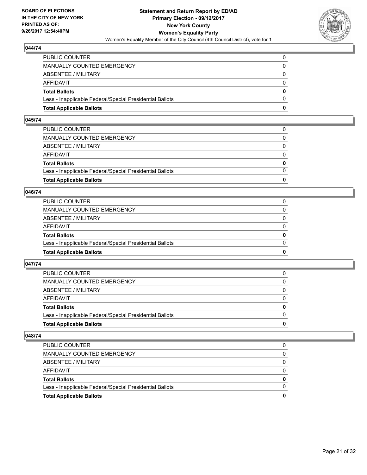

| <b>Total Applicable Ballots</b>                          | n        |
|----------------------------------------------------------|----------|
| Less - Inapplicable Federal/Special Presidential Ballots | $\Omega$ |
| <b>Total Ballots</b>                                     | $\bf{0}$ |
| AFFIDAVIT                                                | $\Omega$ |
| <b>ABSENTEE / MILITARY</b>                               | $\Omega$ |
| <b>MANUALLY COUNTED EMERGENCY</b>                        | $\Omega$ |
| PUBLIC COUNTER                                           |          |

## **045/74**

| PUBLIC COUNTER                                           | $\Omega$     |
|----------------------------------------------------------|--------------|
| MANUALLY COUNTED EMERGENCY                               | 0            |
| ABSENTEE / MILITARY                                      | $\Omega$     |
| AFFIDAVIT                                                | $\Omega$     |
| <b>Total Ballots</b>                                     | $\mathbf{0}$ |
| Less - Inapplicable Federal/Special Presidential Ballots | $\Omega$     |
| <b>Total Applicable Ballots</b>                          | 0            |
|                                                          |              |

## **046/74**

| <b>Total Applicable Ballots</b>                          | 0        |
|----------------------------------------------------------|----------|
| Less - Inapplicable Federal/Special Presidential Ballots | $\Omega$ |
| <b>Total Ballots</b>                                     | 0        |
| <b>AFFIDAVIT</b>                                         | 0        |
| ABSENTEE / MILITARY                                      | 0        |
| MANUALLY COUNTED EMERGENCY                               | 0        |
| PUBLIC COUNTER                                           |          |

## **047/74**

| <b>Total Applicable Ballots</b>                          | 0        |
|----------------------------------------------------------|----------|
| Less - Inapplicable Federal/Special Presidential Ballots |          |
| <b>Total Ballots</b>                                     | $\bf{0}$ |
| <b>AFFIDAVIT</b>                                         |          |
| ABSENTEE / MILITARY                                      | 0        |
| MANUALLY COUNTED EMERGENCY                               | 0        |
| <b>PUBLIC COUNTER</b>                                    | 0        |

| <b>Total Applicable Ballots</b>                          |          |
|----------------------------------------------------------|----------|
| Less - Inapplicable Federal/Special Presidential Ballots | $\Omega$ |
| <b>Total Ballots</b>                                     | 0        |
| AFFIDAVIT                                                |          |
| ABSENTEE / MILITARY                                      | 0        |
| <b>MANUALLY COUNTED EMERGENCY</b>                        |          |
| <b>PUBLIC COUNTER</b>                                    | 0        |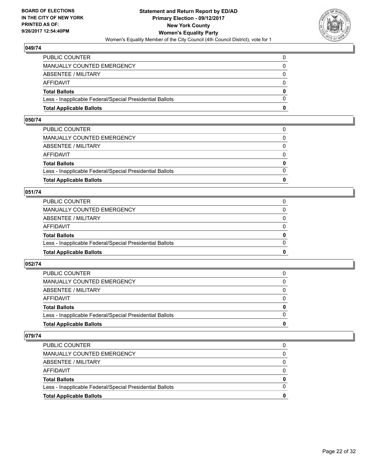

| <b>Total Applicable Ballots</b>                          | n        |
|----------------------------------------------------------|----------|
| Less - Inapplicable Federal/Special Presidential Ballots | $\Omega$ |
| <b>Total Ballots</b>                                     | $\bf{0}$ |
| AFFIDAVIT                                                | $\Omega$ |
| <b>ABSENTEE / MILITARY</b>                               | 0        |
| MANUALLY COUNTED EMERGENCY                               | $\Omega$ |
| PUBLIC COUNTER                                           | 0        |

## **050/74**

| PUBLIC COUNTER                                           | $\Omega$     |
|----------------------------------------------------------|--------------|
| MANUALLY COUNTED EMERGENCY                               | 0            |
| ABSENTEE / MILITARY                                      | $\Omega$     |
| AFFIDAVIT                                                | $\Omega$     |
| <b>Total Ballots</b>                                     | $\mathbf{0}$ |
| Less - Inapplicable Federal/Special Presidential Ballots | $\Omega$     |
| <b>Total Applicable Ballots</b>                          | 0            |
|                                                          |              |

## **051/74**

| <b>Total Applicable Ballots</b>                          | 0        |
|----------------------------------------------------------|----------|
| Less - Inapplicable Federal/Special Presidential Ballots | $\Omega$ |
| <b>Total Ballots</b>                                     | 0        |
| <b>AFFIDAVIT</b>                                         | $\Omega$ |
| ABSENTEE / MILITARY                                      | 0        |
| MANUALLY COUNTED EMERGENCY                               | $\Omega$ |
| PUBLIC COUNTER                                           |          |

## **052/74**

| <b>Total Applicable Ballots</b>                          | 0            |
|----------------------------------------------------------|--------------|
| Less - Inapplicable Federal/Special Presidential Ballots |              |
| <b>Total Ballots</b>                                     | $\mathbf{0}$ |
| <b>AFFIDAVIT</b>                                         |              |
| ABSENTEE / MILITARY                                      | 0            |
| MANUALLY COUNTED EMERGENCY                               | $\Omega$     |
| PUBLIC COUNTER                                           | 0            |

| <b>Total Applicable Ballots</b>                          |   |
|----------------------------------------------------------|---|
| Less - Inapplicable Federal/Special Presidential Ballots |   |
| <b>Total Ballots</b>                                     | 0 |
| AFFIDAVIT                                                |   |
| ABSENTEE / MILITARY                                      |   |
| MANUALLY COUNTED EMERGENCY                               |   |
| PUBLIC COUNTER                                           |   |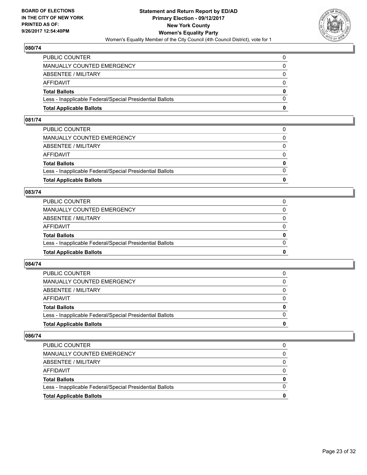

| <b>Total Applicable Ballots</b>                          | n        |
|----------------------------------------------------------|----------|
| Less - Inapplicable Federal/Special Presidential Ballots | $\Omega$ |
| <b>Total Ballots</b>                                     | $\bf{0}$ |
| AFFIDAVIT                                                | $\Omega$ |
| <b>ABSENTEE / MILITARY</b>                               | $\Omega$ |
| <b>MANUALLY COUNTED EMERGENCY</b>                        | $\Omega$ |
| PUBLIC COUNTER                                           |          |

#### **081/74**

| PUBLIC COUNTER                                           | $\Omega$     |
|----------------------------------------------------------|--------------|
| MANUALLY COUNTED EMERGENCY                               | 0            |
| ABSENTEE / MILITARY                                      | $\Omega$     |
| AFFIDAVIT                                                | $\Omega$     |
| <b>Total Ballots</b>                                     | $\mathbf{0}$ |
| Less - Inapplicable Federal/Special Presidential Ballots | $\Omega$     |
| <b>Total Applicable Ballots</b>                          | 0            |
|                                                          |              |

#### **083/74**

| <b>Total Applicable Ballots</b>                          | o            |
|----------------------------------------------------------|--------------|
| Less - Inapplicable Federal/Special Presidential Ballots | $\Omega$     |
| <b>Total Ballots</b>                                     | $\mathbf{0}$ |
| <b>AFFIDAVIT</b>                                         | 0            |
| <b>ABSENTEE / MILITARY</b>                               | $\Omega$     |
| MANUALLY COUNTED EMERGENCY                               |              |
| PUBLIC COUNTER                                           |              |

## **084/74**

| <b>Total Applicable Ballots</b>                          | 0        |
|----------------------------------------------------------|----------|
| Less - Inapplicable Federal/Special Presidential Ballots |          |
| <b>Total Ballots</b>                                     | $\bf{0}$ |
| <b>AFFIDAVIT</b>                                         |          |
| ABSENTEE / MILITARY                                      | 0        |
| MANUALLY COUNTED EMERGENCY                               | 0        |
| <b>PUBLIC COUNTER</b>                                    | 0        |

| <b>Total Applicable Ballots</b>                          |   |
|----------------------------------------------------------|---|
| Less - Inapplicable Federal/Special Presidential Ballots |   |
| <b>Total Ballots</b>                                     | 0 |
| AFFIDAVIT                                                |   |
| ABSENTEE / MILITARY                                      |   |
| MANUALLY COUNTED EMERGENCY                               |   |
| PUBLIC COUNTER                                           |   |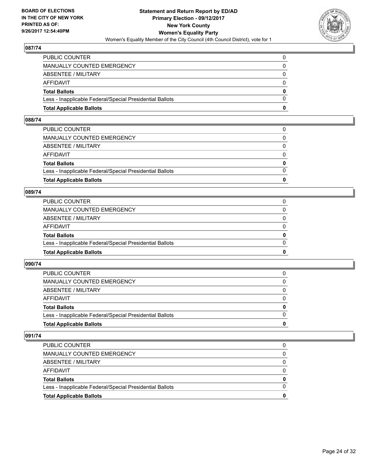

| <b>Total Applicable Ballots</b>                          | n        |
|----------------------------------------------------------|----------|
| Less - Inapplicable Federal/Special Presidential Ballots | $\Omega$ |
| <b>Total Ballots</b>                                     | $\bf{0}$ |
| AFFIDAVIT                                                | $\Omega$ |
| <b>ABSENTEE / MILITARY</b>                               | $\Omega$ |
| <b>MANUALLY COUNTED EMERGENCY</b>                        | $\Omega$ |
| PUBLIC COUNTER                                           |          |

## **088/74**

| PUBLIC COUNTER                                           | $\Omega$     |
|----------------------------------------------------------|--------------|
| MANUALLY COUNTED EMERGENCY                               | 0            |
| ABSENTEE / MILITARY                                      | $\Omega$     |
| AFFIDAVIT                                                | $\Omega$     |
| <b>Total Ballots</b>                                     | $\mathbf{0}$ |
| Less - Inapplicable Federal/Special Presidential Ballots | $\Omega$     |
| <b>Total Applicable Ballots</b>                          | 0            |
|                                                          |              |

#### **089/74**

| <b>Total Applicable Ballots</b>                          | 0        |
|----------------------------------------------------------|----------|
| Less - Inapplicable Federal/Special Presidential Ballots | $\Omega$ |
| <b>Total Ballots</b>                                     | 0        |
| <b>AFFIDAVIT</b>                                         | $\Omega$ |
| ABSENTEE / MILITARY                                      | 0        |
| MANUALLY COUNTED EMERGENCY                               | $\Omega$ |
| PUBLIC COUNTER                                           |          |

## **090/74**

| <b>Total Applicable Ballots</b>                          | o            |
|----------------------------------------------------------|--------------|
| Less - Inapplicable Federal/Special Presidential Ballots | <sup>0</sup> |
| <b>Total Ballots</b>                                     | 0            |
| <b>AFFIDAVIT</b>                                         |              |
| ABSENTEE / MILITARY                                      | 0            |
| <b>MANUALLY COUNTED EMERGENCY</b>                        | 0            |
| <b>PUBLIC COUNTER</b>                                    |              |

| <b>Total Applicable Ballots</b>                          | 0 |
|----------------------------------------------------------|---|
| Less - Inapplicable Federal/Special Presidential Ballots |   |
| <b>Total Ballots</b>                                     | 0 |
| AFFIDAVIT                                                |   |
| ABSENTEE / MILITARY                                      |   |
| MANUALLY COUNTED EMERGENCY                               | 0 |
| PUBLIC COUNTER                                           |   |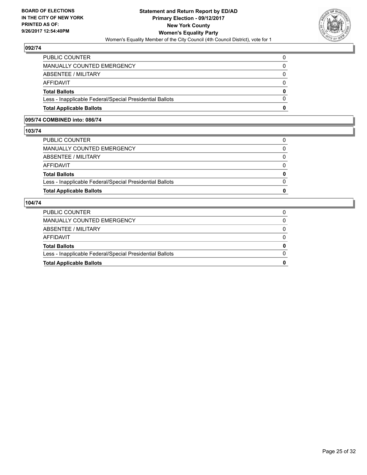

| <b>Total Applicable Ballots</b>                          | 0        |
|----------------------------------------------------------|----------|
| Less - Inapplicable Federal/Special Presidential Ballots | $\Omega$ |
| <b>Total Ballots</b>                                     | $\bf{0}$ |
| AFFIDAVIT                                                | $\Omega$ |
| ABSENTEE / MILITARY                                      | 0        |
| MANUALLY COUNTED EMERGENCY                               | $\Omega$ |
| PUBLIC COUNTER                                           | 0        |

## **095/74 COMBINED into: 086/74**

#### **103/74**

| MANUALLY COUNTED EMERGENCY                               | $\Omega$     |
|----------------------------------------------------------|--------------|
| ABSENTEE / MILITARY                                      | $\Omega$     |
| AFFIDAVIT                                                | $\Omega$     |
| <b>Total Ballots</b>                                     | $\mathbf{0}$ |
| Less - Inapplicable Federal/Special Presidential Ballots | $\mathbf{0}$ |
| <b>Total Applicable Ballots</b>                          | 0            |
|                                                          |              |

| <b>Total Applicable Ballots</b>                          | 0 |
|----------------------------------------------------------|---|
| Less - Inapplicable Federal/Special Presidential Ballots | 0 |
| <b>Total Ballots</b>                                     | 0 |
| AFFIDAVIT                                                |   |
| ABSENTEE / MILITARY                                      |   |
| MANUALLY COUNTED EMERGENCY                               | 0 |
| <b>PUBLIC COUNTER</b>                                    |   |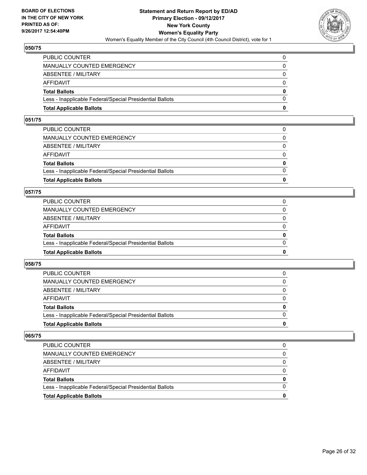

| <b>Total Applicable Ballots</b>                          | n        |
|----------------------------------------------------------|----------|
| Less - Inapplicable Federal/Special Presidential Ballots | $\Omega$ |
| <b>Total Ballots</b>                                     | $\bf{0}$ |
| AFFIDAVIT                                                | $\Omega$ |
| <b>ABSENTEE / MILITARY</b>                               | $\Omega$ |
| <b>MANUALLY COUNTED EMERGENCY</b>                        | $\Omega$ |
| PUBLIC COUNTER                                           |          |

## **051/75**

| PUBLIC COUNTER                                           | $\Omega$     |
|----------------------------------------------------------|--------------|
| MANUALLY COUNTED EMERGENCY                               | 0            |
| ABSENTEE / MILITARY                                      | $\Omega$     |
| AFFIDAVIT                                                | $\Omega$     |
| <b>Total Ballots</b>                                     | $\mathbf{0}$ |
| Less - Inapplicable Federal/Special Presidential Ballots | $\Omega$     |
| <b>Total Applicable Ballots</b>                          | 0            |
|                                                          |              |

## **057/75**

| <b>Total Applicable Ballots</b>                          | o            |
|----------------------------------------------------------|--------------|
| Less - Inapplicable Federal/Special Presidential Ballots | $\Omega$     |
| <b>Total Ballots</b>                                     | $\mathbf{0}$ |
| <b>AFFIDAVIT</b>                                         | 0            |
| <b>ABSENTEE / MILITARY</b>                               | $\Omega$     |
| MANUALLY COUNTED EMERGENCY                               |              |
| PUBLIC COUNTER                                           |              |

## **058/75**

| <b>Total Applicable Ballots</b>                          | 0        |
|----------------------------------------------------------|----------|
| Less - Inapplicable Federal/Special Presidential Ballots |          |
| <b>Total Ballots</b>                                     | $\bf{0}$ |
| <b>AFFIDAVIT</b>                                         |          |
| ABSENTEE / MILITARY                                      | 0        |
| MANUALLY COUNTED EMERGENCY                               | 0        |
| <b>PUBLIC COUNTER</b>                                    | 0        |

| <b>Total Applicable Ballots</b>                          |   |
|----------------------------------------------------------|---|
| Less - Inapplicable Federal/Special Presidential Ballots |   |
| <b>Total Ballots</b>                                     | 0 |
| AFFIDAVIT                                                |   |
| ABSENTEE / MILITARY                                      | 0 |
| <b>MANUALLY COUNTED EMERGENCY</b>                        |   |
| PUBLIC COUNTER                                           |   |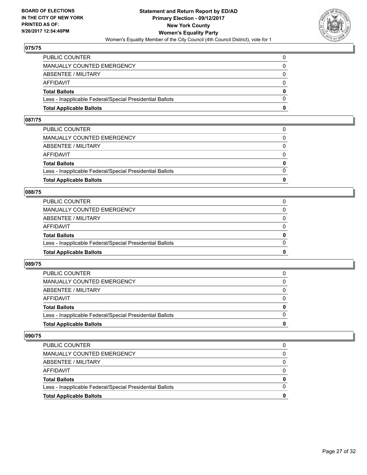

| <b>Total Applicable Ballots</b>                          | n        |
|----------------------------------------------------------|----------|
| Less - Inapplicable Federal/Special Presidential Ballots | $\Omega$ |
| <b>Total Ballots</b>                                     | $\bf{0}$ |
| <b>AFFIDAVIT</b>                                         | $\Omega$ |
| ABSENTEE / MILITARY                                      | 0        |
| <b>MANUALLY COUNTED EMERGENCY</b>                        | $\Omega$ |
| PUBLIC COUNTER                                           |          |

## **087/75**

| 0            |
|--------------|
| $\Omega$     |
| $\mathbf{0}$ |
| $\Omega$     |
| $\Omega$     |
| $\Omega$     |
| 0            |
|              |

#### **088/75**

| <b>Total Applicable Ballots</b>                          | 0        |
|----------------------------------------------------------|----------|
| Less - Inapplicable Federal/Special Presidential Ballots | 0        |
| <b>Total Ballots</b>                                     | 0        |
| AFFIDAVIT                                                | 0        |
| <b>ABSENTEE / MILITARY</b>                               | $\Omega$ |
| MANUALLY COUNTED EMERGENCY                               |          |
| PUBLIC COUNTER                                           |          |

## **089/75**

| <b>Total Applicable Ballots</b>                          | o            |
|----------------------------------------------------------|--------------|
| Less - Inapplicable Federal/Special Presidential Ballots | <sup>0</sup> |
| <b>Total Ballots</b>                                     | 0            |
| AFFIDAVIT                                                |              |
| ABSENTEE / MILITARY                                      | 0            |
| <b>MANUALLY COUNTED EMERGENCY</b>                        | 0            |
| <b>PUBLIC COUNTER</b>                                    |              |

| <b>Total Applicable Ballots</b>                          |   |
|----------------------------------------------------------|---|
| Less - Inapplicable Federal/Special Presidential Ballots |   |
| <b>Total Ballots</b>                                     | O |
| AFFIDAVIT                                                |   |
| ABSENTEE / MILITARY                                      |   |
| MANUALLY COUNTED EMERGENCY                               |   |
| PUBLIC COUNTER                                           |   |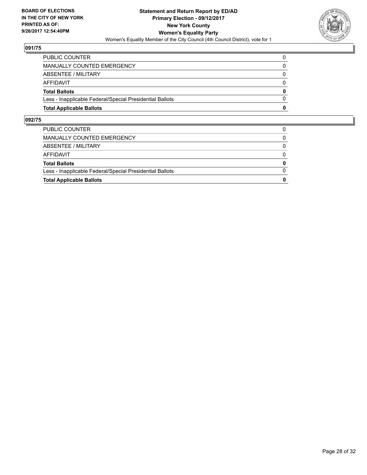

| <b>Total Applicable Ballots</b>                          | 0        |
|----------------------------------------------------------|----------|
| Less - Inapplicable Federal/Special Presidential Ballots | 0        |
| <b>Total Ballots</b>                                     | $\bf{0}$ |
| AFFIDAVIT                                                | 0        |
| ABSENTEE / MILITARY                                      | $\Omega$ |
| MANUALLY COUNTED EMERGENCY                               |          |
| <b>PUBLIC COUNTER</b>                                    |          |

| <b>Total Applicable Ballots</b>                          | 0        |
|----------------------------------------------------------|----------|
| Less - Inapplicable Federal/Special Presidential Ballots | $\Omega$ |
| <b>Total Ballots</b>                                     | 0        |
| AFFIDAVIT                                                | $\Omega$ |
| ABSENTEE / MILITARY                                      | $\Omega$ |
| MANUALLY COUNTED EMERGENCY                               |          |
| PUBLIC COUNTER                                           |          |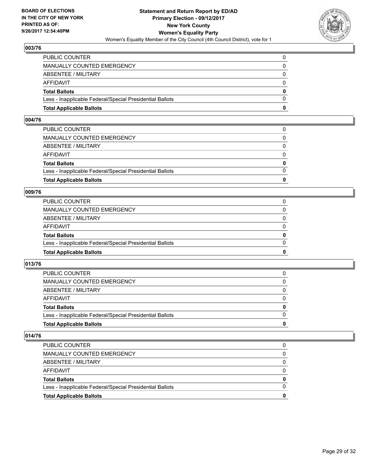

| <b>Total Applicable Ballots</b>                          | n        |
|----------------------------------------------------------|----------|
| Less - Inapplicable Federal/Special Presidential Ballots | $\Omega$ |
| <b>Total Ballots</b>                                     | $\bf{0}$ |
| AFFIDAVIT                                                | $\Omega$ |
| <b>ABSENTEE / MILITARY</b>                               | $\Omega$ |
| MANUALLY COUNTED EMERGENCY                               | 0        |
| PUBLIC COUNTER                                           | 0        |

#### **004/76**

| PUBLIC COUNTER                                           | 0            |
|----------------------------------------------------------|--------------|
| MANUALLY COUNTED EMERGENCY                               | 0            |
| ABSENTEE / MILITARY                                      | $\Omega$     |
| AFFIDAVIT                                                | $\Omega$     |
| <b>Total Ballots</b>                                     | $\mathbf{0}$ |
| Less - Inapplicable Federal/Special Presidential Ballots | $\Omega$     |
| <b>Total Applicable Ballots</b>                          | 0            |
|                                                          |              |

#### **009/76**

| <b>Total Applicable Ballots</b>                          | o            |
|----------------------------------------------------------|--------------|
| Less - Inapplicable Federal/Special Presidential Ballots | $\Omega$     |
| <b>Total Ballots</b>                                     | $\mathbf{0}$ |
| <b>AFFIDAVIT</b>                                         | 0            |
| <b>ABSENTEE / MILITARY</b>                               | $\Omega$     |
| MANUALLY COUNTED EMERGENCY                               |              |
| PUBLIC COUNTER                                           |              |

## **013/76**

| <b>Total Applicable Ballots</b>                          | 0        |
|----------------------------------------------------------|----------|
| Less - Inapplicable Federal/Special Presidential Ballots |          |
| <b>Total Ballots</b>                                     | $\bf{0}$ |
| <b>AFFIDAVIT</b>                                         |          |
| ABSENTEE / MILITARY                                      | 0        |
| MANUALLY COUNTED EMERGENCY                               | 0        |
| <b>PUBLIC COUNTER</b>                                    | 0        |

| <b>Total Applicable Ballots</b>                          | 0 |
|----------------------------------------------------------|---|
| Less - Inapplicable Federal/Special Presidential Ballots |   |
| <b>Total Ballots</b>                                     | 0 |
| AFFIDAVIT                                                |   |
| ABSENTEE / MILITARY                                      |   |
| MANUALLY COUNTED EMERGENCY                               | 0 |
| PUBLIC COUNTER                                           | 0 |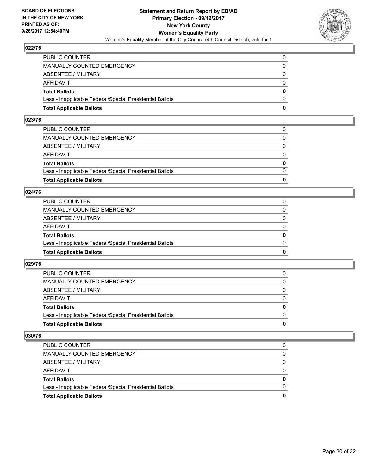

| <b>Total Applicable Ballots</b>                          | n        |
|----------------------------------------------------------|----------|
| Less - Inapplicable Federal/Special Presidential Ballots | $\Omega$ |
| <b>Total Ballots</b>                                     | $\bf{0}$ |
| AFFIDAVIT                                                | $\Omega$ |
| <b>ABSENTEE / MILITARY</b>                               | $\Omega$ |
| <b>MANUALLY COUNTED EMERGENCY</b>                        | $\Omega$ |
| PUBLIC COUNTER                                           |          |

## **023/76**

| 0            |
|--------------|
| $\Omega$     |
| $\mathbf{0}$ |
| $\Omega$     |
| $\Omega$     |
| $\Omega$     |
| 0            |
|              |

#### **024/76**

| <b>Total Applicable Ballots</b>                          | 0        |
|----------------------------------------------------------|----------|
| Less - Inapplicable Federal/Special Presidential Ballots | 0        |
| <b>Total Ballots</b>                                     | 0        |
| AFFIDAVIT                                                | 0        |
| <b>ABSENTEE / MILITARY</b>                               | $\Omega$ |
| MANUALLY COUNTED EMERGENCY                               |          |
| PUBLIC COUNTER                                           |          |

## **029/76**

| <b>Total Applicable Ballots</b>                          | o |
|----------------------------------------------------------|---|
| Less - Inapplicable Federal/Special Presidential Ballots | 0 |
| <b>Total Ballots</b>                                     | 0 |
| AFFIDAVIT                                                |   |
| ABSENTEE / MILITARY                                      | 0 |
| <b>MANUALLY COUNTED EMERGENCY</b>                        | 0 |
| <b>PUBLIC COUNTER</b>                                    |   |

| <b>Total Applicable Ballots</b>                          | 0 |
|----------------------------------------------------------|---|
| Less - Inapplicable Federal/Special Presidential Ballots |   |
| <b>Total Ballots</b>                                     | 0 |
| AFFIDAVIT                                                |   |
| ABSENTEE / MILITARY                                      |   |
| MANUALLY COUNTED EMERGENCY                               | 0 |
| PUBLIC COUNTER                                           |   |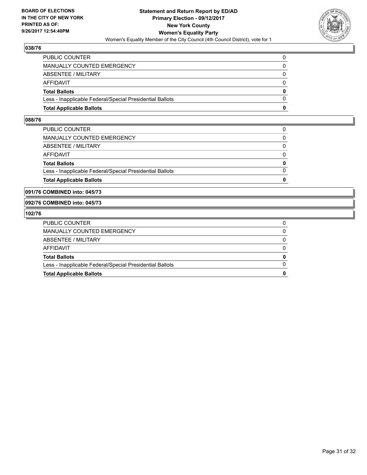

| <b>Total Applicable Ballots</b>                          | o        |
|----------------------------------------------------------|----------|
| Less - Inapplicable Federal/Special Presidential Ballots | $\Omega$ |
| <b>Total Ballots</b>                                     | 0        |
| <b>AFFIDAVIT</b>                                         | 0        |
| ABSENTEE / MILITARY                                      | 0        |
| <b>MANUALLY COUNTED EMERGENCY</b>                        | 0        |
| PUBLIC COUNTER                                           |          |

#### **088/76**

| <b>Total Applicable Ballots</b>                          | 0        |
|----------------------------------------------------------|----------|
| Less - Inapplicable Federal/Special Presidential Ballots | $\Omega$ |
| <b>Total Ballots</b>                                     | 0        |
| AFFIDAVIT                                                | 0        |
| ABSENTEE / MILITARY                                      | $\Omega$ |
| MANUALLY COUNTED EMERGENCY                               | 0        |
| PUBLIC COUNTER                                           |          |
|                                                          |          |

#### **091/76 COMBINED into: 045/73**

#### **092/76 COMBINED into: 045/73**

| PUBLIC COUNTER                                           |          |
|----------------------------------------------------------|----------|
| MANUALLY COUNTED EMERGENCY                               | 0        |
| ABSENTEE / MILITARY                                      | 0        |
| AFFIDAVIT                                                | 0        |
| <b>Total Ballots</b>                                     | 0        |
| Less - Inapplicable Federal/Special Presidential Ballots | $\Omega$ |
| <b>Total Applicable Ballots</b>                          | 0        |
|                                                          |          |